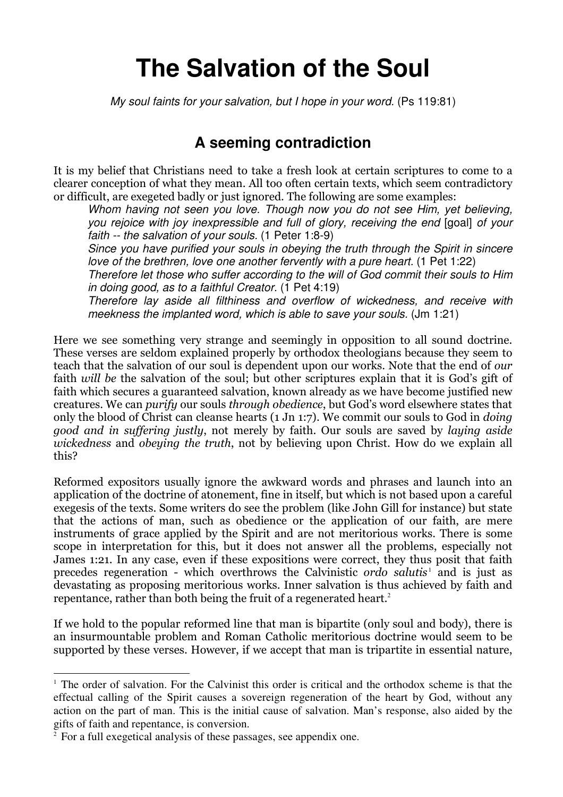# **The Salvation of the Soul**

My soul faints for your salvation, but I hope in your word. (Ps 119:81)

# **A seeming contradiction**

It is my belief that Christians need to take a fresh look at certain scriptures to come to a clearer conception of what they mean. All too often certain texts, which seem contradictory or difficult, are exegeted badly or just ignored. The following are some examples:

Whom having not seen you love. Though now you do not see Him, yet believing, you rejoice with joy inexpressible and full of glory, receiving the end [goal] of your faith -- the salvation of your souls. (1 Peter 1:8-9)

Since you have purified your souls in obeying the truth through the Spirit in sincere love of the brethren, love one another fervently with a pure heart. (1 Pet 1:22)

Therefore let those who suffer according to the will of God commit their souls to Him in doing good, as to a faithful Creator. (1 Pet 4:19)

Therefore lay aside all filthiness and overflow of wickedness, and receive with meekness the implanted word, which is able to save your souls. (Jm 1:21)

Here we see something very strange and seemingly in opposition to all sound doctrine. These verses are seldom explained properly by orthodox theologians because they seem to teach that the salvation of our soul is dependent upon our works. Note that the end of our faith will be the salvation of the soul; but other scriptures explain that it is God's gift of faith which secures a guaranteed salvation, known already as we have become justified new creatures. We can purify our souls through obedience, but God's word elsewhere states that only the blood of Christ can cleanse hearts (1 Jn 1:7). We commit our souls to God in doing good and in suffering justly, not merely by faith. Our souls are saved by laying aside wickedness and obeying the truth, not by believing upon Christ. How do we explain all this?

Reformed expositors usually ignore the awkward words and phrases and launch into an application of the doctrine of atonement, fine in itself, but which is not based upon a careful exegesis of the texts. Some writers do see the problem (like John Gill for instance) but state that the actions of man, such as obedience or the application of our faith, are mere instruments of grace applied by the Spirit and are not meritorious works. There is some scope in interpretation for this, but it does not answer all the problems, especially not James 1:21. In any case, even if these expositions were correct, they thus posit that faith precedes regeneration - which overthrows the Calvinistic *ordo salutis* and is just as devastating as proposing meritorious works. Inner salvation is thus achieved by faith and repentance, rather than both being the fruit of a regenerated heart. 2

If we hold to the popular reformed line that man is bipartite (only soul and body), there is an insurmountable problem and Roman Catholic meritorious doctrine would seem to be supported by these verses. However, if we accept that man is tripartite in essential nature,

 $\overline{a}$ 

<sup>&</sup>lt;sup>1</sup> The order of salvation. For the Calvinist this order is critical and the orthodox scheme is that the effectual calling of the Spirit causes a sovereign regeneration of the heart by God, without any action on the part of man. This is the initial cause of salvation. Man's response, also aided by the gifts of faith and repentance, is conversion.

<sup>&</sup>lt;sup>2</sup> For a full exegetical analysis of these passages, see appendix one.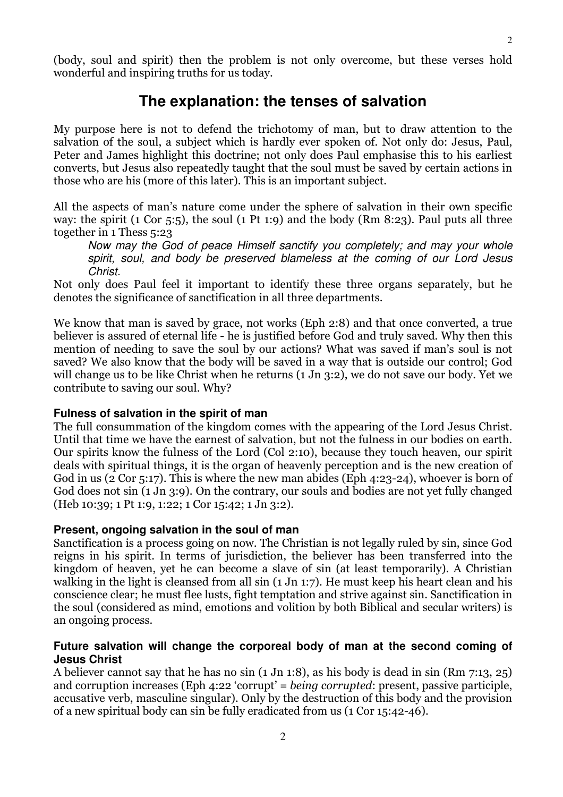$\mathcal{D}$ 

(body, soul and spirit) then the problem is not only overcome, but these verses hold wonderful and inspiring truths for us today.

# **The explanation: the tenses of salvation**

My purpose here is not to defend the trichotomy of man, but to draw attention to the salvation of the soul, a subject which is hardly ever spoken of. Not only do: Jesus, Paul, Peter and James highlight this doctrine; not only does Paul emphasise this to his earliest converts, but Jesus also repeatedly taught that the soul must be saved by certain actions in those who are his (more of this later). This is an important subject.

All the aspects of man's nature come under the sphere of salvation in their own specific way: the spirit (1 Cor 5:5), the soul (1 Pt 1:9) and the body (Rm 8:23). Paul puts all three together in 1 Thess 5:23

Now may the God of peace Himself sanctify you completely; and may your whole spirit, soul, and body be preserved blameless at the coming of our Lord Jesus Christ.

Not only does Paul feel it important to identify these three organs separately, but he denotes the significance of sanctification in all three departments.

We know that man is saved by grace, not works (Eph 2:8) and that once converted, a true believer is assured of eternal life - he is justified before God and truly saved. Why then this mention of needing to save the soul by our actions? What was saved if man's soul is not saved? We also know that the body will be saved in a way that is outside our control; God will change us to be like Christ when he returns (1 Jn 3:2), we do not save our body. Yet we contribute to saving our soul. Why?

#### **Fulness of salvation in the spirit of man**

The full consummation of the kingdom comes with the appearing of the Lord Jesus Christ. Until that time we have the earnest of salvation, but not the fulness in our bodies on earth. Our spirits know the fulness of the Lord (Col 2:10), because they touch heaven, our spirit deals with spiritual things, it is the organ of heavenly perception and is the new creation of God in us (2 Cor 5:17). This is where the new man abides (Eph 4:23-24), whoever is born of God does not sin (1 Jn 3:9). On the contrary, our souls and bodies are not yet fully changed (Heb 10:39; 1 Pt 1:9, 1:22; 1 Cor 15:42; 1 Jn 3:2).

#### **Present, ongoing salvation in the soul of man**

Sanctification is a process going on now. The Christian is not legally ruled by sin, since God reigns in his spirit. In terms of jurisdiction, the believer has been transferred into the kingdom of heaven, yet he can become a slave of sin (at least temporarily). A Christian walking in the light is cleansed from all sin (1 Jn 1:7). He must keep his heart clean and his conscience clear; he must flee lusts, fight temptation and strive against sin. Sanctification in the soul (considered as mind, emotions and volition by both Biblical and secular writers) is an ongoing process.

#### **Future salvation will change the corporeal body of man at the second coming of Jesus Christ**

A believer cannot say that he has no sin (1 Jn 1:8), as his body is dead in sin (Rm 7:13, 25) and corruption increases (Eph 4:22 'corrupt' = being corrupted: present, passive participle, accusative verb, masculine singular). Only by the destruction of this body and the provision of a new spiritual body can sin be fully eradicated from us (1 Cor 15:42-46).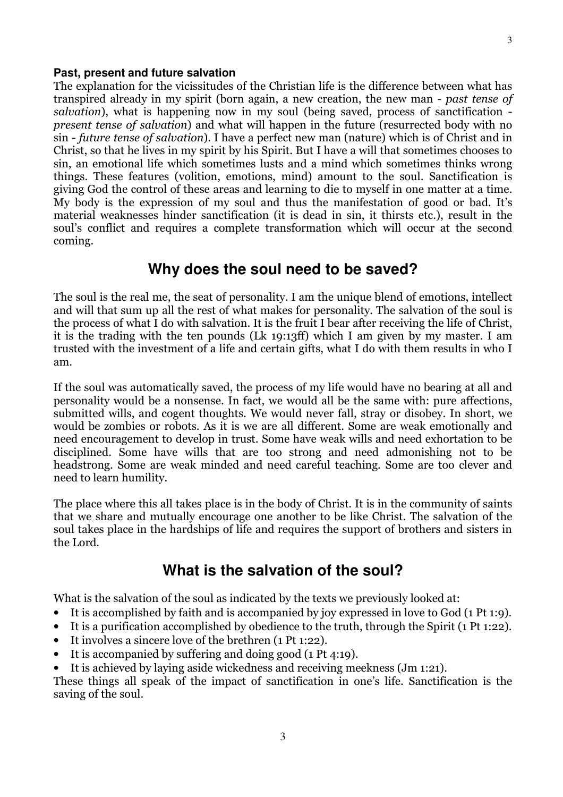#### **Past, present and future salvation**

The explanation for the vicissitudes of the Christian life is the difference between what has transpired already in my spirit (born again, a new creation, the new man - past tense of salvation), what is happening now in my soul (being saved, process of sanctification present tense of salvation) and what will happen in the future (resurrected body with no sin - future tense of salvation). I have a perfect new man (nature) which is of Christ and in Christ, so that he lives in my spirit by his Spirit. But I have a will that sometimes chooses to sin, an emotional life which sometimes lusts and a mind which sometimes thinks wrong things. These features (volition, emotions, mind) amount to the soul. Sanctification is giving God the control of these areas and learning to die to myself in one matter at a time. My body is the expression of my soul and thus the manifestation of good or bad. It's material weaknesses hinder sanctification (it is dead in sin, it thirsts etc.), result in the soul's conflict and requires a complete transformation which will occur at the second coming.

# **Why does the soul need to be saved?**

The soul is the real me, the seat of personality. I am the unique blend of emotions, intellect and will that sum up all the rest of what makes for personality. The salvation of the soul is the process of what I do with salvation. It is the fruit I bear after receiving the life of Christ, it is the trading with the ten pounds (Lk 19:13ff) which I am given by my master. I am trusted with the investment of a life and certain gifts, what I do with them results in who I am.

If the soul was automatically saved, the process of my life would have no bearing at all and personality would be a nonsense. In fact, we would all be the same with: pure affections, submitted wills, and cogent thoughts. We would never fall, stray or disobey. In short, we would be zombies or robots. As it is we are all different. Some are weak emotionally and need encouragement to develop in trust. Some have weak wills and need exhortation to be disciplined. Some have wills that are too strong and need admonishing not to be headstrong. Some are weak minded and need careful teaching. Some are too clever and need to learn humility.

The place where this all takes place is in the body of Christ. It is in the community of saints that we share and mutually encourage one another to be like Christ. The salvation of the soul takes place in the hardships of life and requires the support of brothers and sisters in the Lord.

# **What is the salvation of the soul?**

What is the salvation of the soul as indicated by the texts we previously looked at:

- It is accomplished by faith and is accompanied by joy expressed in love to God (1 Pt 1:9).
- It is a purification accomplished by obedience to the truth, through the Spirit (1 Pt 1:22).
- It involves a sincere love of the brethren (1 Pt 1:22).
- It is accompanied by suffering and doing good (1 Pt 4:19).
- It is achieved by laying aside wickedness and receiving meekness (Jm 1:21).

These things all speak of the impact of sanctification in one's life. Sanctification is the saving of the soul.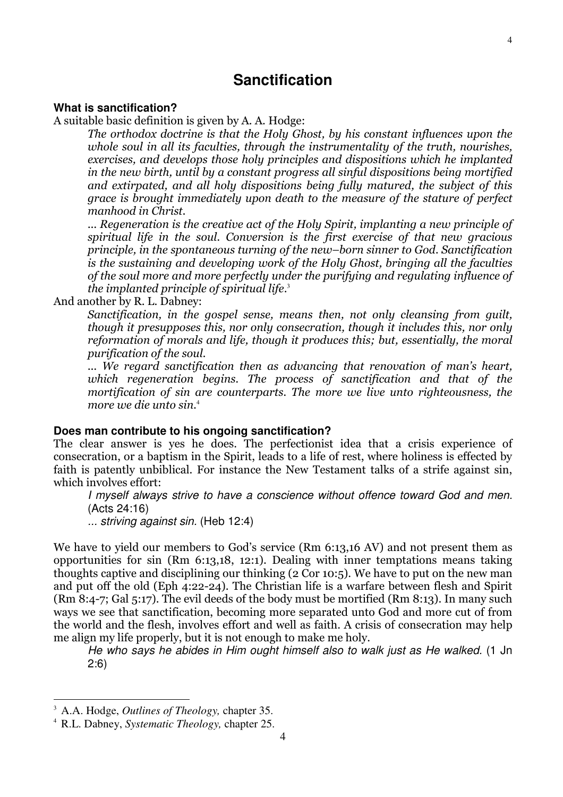# **Sanctification**

#### **What is sanctification?**

A suitable basic definition is given by A. A. Hodge:

The orthodox doctrine is that the Holy Ghost, by his constant influences upon the whole soul in all its faculties, through the instrumentality of the truth, nourishes, exercises, and develops those holy principles and dispositions which he implanted in the new birth, until by a constant progress all sinful dispositions being mortified and extirpated, and all holy dispositions being fully matured, the subject of this grace is brought immediately upon death to the measure of the stature of perfect manhood in Christ.

... Regeneration is the creative act of the Holy Spirit, implanting a new principle of spiritual life in the soul. Conversion is the first exercise of that new gracious principle, in the spontaneous turning of the new–born sinner to God. Sanctification is the sustaining and developing work of the Holy Ghost, bringing all the faculties of the soul more and more perfectly under the purifying and regulating influence of the implanted principle of spiritual life. 3

And another by R. L. Dabney:

Sanctification, in the gospel sense, means then, not only cleansing from guilt, though it presupposes this, nor only consecration, though it includes this, nor only reformation of morals and life, though it produces this; but, essentially, the moral purification of the soul.

... We regard sanctification then as advancing that renovation of man's heart, which regeneration begins. The process of sanctification and that of the mortification of sin are counterparts. The more we live unto righteousness, the more we die unto sin.<sup>4</sup>

#### **Does man contribute to his ongoing sanctification?**

The clear answer is yes he does. The perfectionist idea that a crisis experience of consecration, or a baptism in the Spirit, leads to a life of rest, where holiness is effected by faith is patently unbiblical. For instance the New Testament talks of a strife against sin, which involves effort:

I myself always strive to have a conscience without offence toward God and men. (Acts 24:16)

... striving against sin. (Heb 12:4)

We have to yield our members to God's service (Rm 6:13,16 AV) and not present them as opportunities for sin (Rm 6:13,18, 12:1). Dealing with inner temptations means taking thoughts captive and disciplining our thinking (2 Cor 10:5). We have to put on the new man and put off the old (Eph 4:22-24). The Christian life is a warfare between flesh and Spirit (Rm 8:4-7; Gal 5:17). The evil deeds of the body must be mortified (Rm 8:13). In many such ways we see that sanctification, becoming more separated unto God and more cut of from the world and the flesh, involves effort and well as faith. A crisis of consecration may help me align my life properly, but it is not enough to make me holy.

He who says he abides in Him ought himself also to walk just as He walked. (1 Jn 2:6)

 $\overline{a}$ 

<sup>3</sup> A.A. Hodge, *Outlines of Theology,* chapter 35.

<sup>4</sup> R.L. Dabney, *Systematic Theology,* chapter 25.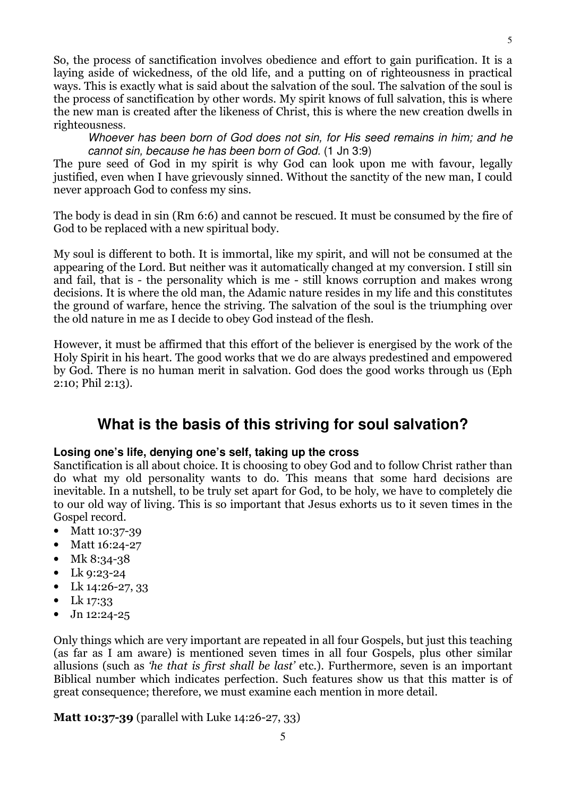So, the process of sanctification involves obedience and effort to gain purification. It is a laying aside of wickedness, of the old life, and a putting on of righteousness in practical ways. This is exactly what is said about the salvation of the soul. The salvation of the soul is the process of sanctification by other words. My spirit knows of full salvation, this is where the new man is created after the likeness of Christ, this is where the new creation dwells in righteousness.

Whoever has been born of God does not sin, for His seed remains in him; and he cannot sin, because he has been born of God. (1 Jn 3:9)

The pure seed of God in my spirit is why God can look upon me with favour, legally justified, even when I have grievously sinned. Without the sanctity of the new man, I could never approach God to confess my sins.

The body is dead in sin (Rm 6:6) and cannot be rescued. It must be consumed by the fire of God to be replaced with a new spiritual body.

My soul is different to both. It is immortal, like my spirit, and will not be consumed at the appearing of the Lord. But neither was it automatically changed at my conversion. I still sin and fail, that is - the personality which is me - still knows corruption and makes wrong decisions. It is where the old man, the Adamic nature resides in my life and this constitutes the ground of warfare, hence the striving. The salvation of the soul is the triumphing over the old nature in me as I decide to obey God instead of the flesh.

However, it must be affirmed that this effort of the believer is energised by the work of the Holy Spirit in his heart. The good works that we do are always predestined and empowered by God. There is no human merit in salvation. God does the good works through us (Eph 2:10; Phil 2:13).

# **What is the basis of this striving for soul salvation?**

#### **Losing one's life, denying one's self, taking up the cross**

Sanctification is all about choice. It is choosing to obey God and to follow Christ rather than do what my old personality wants to do. This means that some hard decisions are inevitable. In a nutshell, to be truly set apart for God, to be holy, we have to completely die to our old way of living. This is so important that Jesus exhorts us to it seven times in the Gospel record.

- Matt 10:37-39
- Matt 16:24-27
- Mk 8:34-38
- Lk  $9:23-24$
- Lk  $14:26-27, 33$
- Lk 17:33
- Jn 12:24-25

Only things which are very important are repeated in all four Gospels, but just this teaching (as far as I am aware) is mentioned seven times in all four Gospels, plus other similar allusions (such as 'he that is first shall be last' etc.). Furthermore, seven is an important Biblical number which indicates perfection. Such features show us that this matter is of great consequence; therefore, we must examine each mention in more detail.

Matt 10:37-39 (parallel with Luke 14:26-27, 33)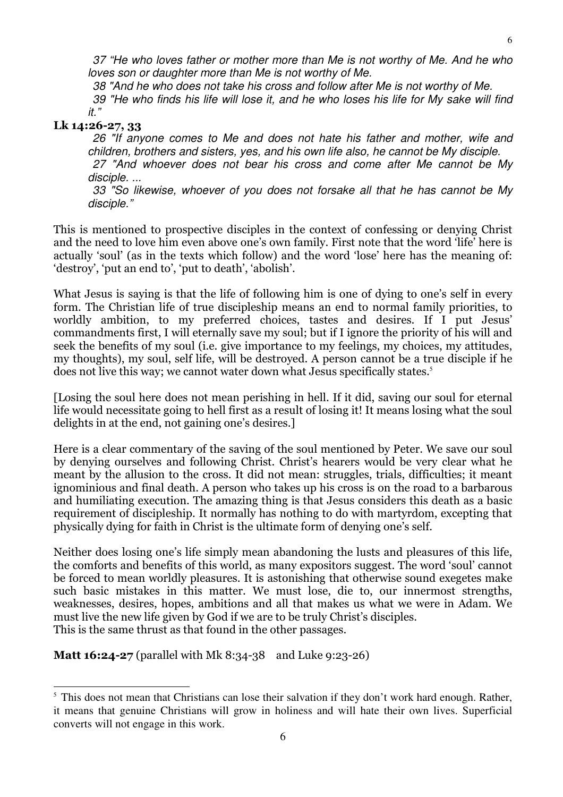37 "He who loves father or mother more than Me is not worthy of Me. And he who loves son or daughter more than Me is not worthy of Me.

38 "And he who does not take his cross and follow after Me is not worthy of Me.

 39 "He who finds his life will lose it, and he who loses his life for My sake will find it."

#### Lk 14:26-27, 33

 $\overline{a}$ 

 26 "If anyone comes to Me and does not hate his father and mother, wife and children, brothers and sisters, yes, and his own life also, he cannot be My disciple.

 27 "And whoever does not bear his cross and come after Me cannot be My disciple. ...

 33 "So likewise, whoever of you does not forsake all that he has cannot be My disciple."

This is mentioned to prospective disciples in the context of confessing or denying Christ and the need to love him even above one's own family. First note that the word 'life' here is actually 'soul' (as in the texts which follow) and the word 'lose' here has the meaning of: 'destroy', 'put an end to', 'put to death', 'abolish'.

What Jesus is saying is that the life of following him is one of dying to one's self in every form. The Christian life of true discipleship means an end to normal family priorities, to worldly ambition, to my preferred choices, tastes and desires. If I put Jesus' commandments first, I will eternally save my soul; but if I ignore the priority of his will and seek the benefits of my soul (i.e. give importance to my feelings, my choices, my attitudes, my thoughts), my soul, self life, will be destroyed. A person cannot be a true disciple if he does not live this way; we cannot water down what Jesus specifically states.<sup>5</sup>

[Losing the soul here does not mean perishing in hell. If it did, saving our soul for eternal life would necessitate going to hell first as a result of losing it! It means losing what the soul delights in at the end, not gaining one's desires.]

Here is a clear commentary of the saving of the soul mentioned by Peter. We save our soul by denying ourselves and following Christ. Christ's hearers would be very clear what he meant by the allusion to the cross. It did not mean: struggles, trials, difficulties; it meant ignominious and final death. A person who takes up his cross is on the road to a barbarous and humiliating execution. The amazing thing is that Jesus considers this death as a basic requirement of discipleship. It normally has nothing to do with martyrdom, excepting that physically dying for faith in Christ is the ultimate form of denying one's self.

Neither does losing one's life simply mean abandoning the lusts and pleasures of this life, the comforts and benefits of this world, as many expositors suggest. The word 'soul' cannot be forced to mean worldly pleasures. It is astonishing that otherwise sound exegetes make such basic mistakes in this matter. We must lose, die to, our innermost strengths, weaknesses, desires, hopes, ambitions and all that makes us what we were in Adam. We must live the new life given by God if we are to be truly Christ's disciples. This is the same thrust as that found in the other passages.

**Matt 16:24-27** (parallel with Mk 8:34-38 and Luke 9:23-26)

<sup>&</sup>lt;sup>5</sup> This does not mean that Christians can lose their salvation if they don't work hard enough. Rather, it means that genuine Christians will grow in holiness and will hate their own lives. Superficial converts will not engage in this work.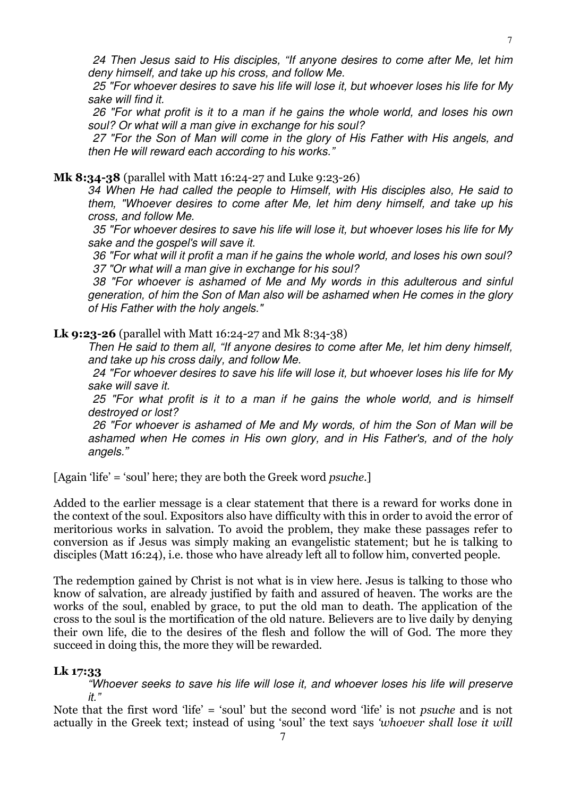24 Then Jesus said to His disciples, "If anyone desires to come after Me, let him deny himself, and take up his cross, and follow Me.

 25 "For whoever desires to save his life will lose it, but whoever loses his life for My sake will find it.

 26 "For what profit is it to a man if he gains the whole world, and loses his own soul? Or what will a man give in exchange for his soul?

 27 "For the Son of Man will come in the glory of His Father with His angels, and then He will reward each according to his works."

#### Mk 8:34-38 (parallel with Matt 16:24-27 and Luke 9:23-26)

34 When He had called the people to Himself, with His disciples also, He said to them, "Whoever desires to come after Me, let him deny himself, and take up his cross, and follow Me.

 35 "For whoever desires to save his life will lose it, but whoever loses his life for My sake and the gospel's will save it.

 36 "For what will it profit a man if he gains the whole world, and loses his own soul? 37 "Or what will a man give in exchange for his soul?

 38 "For whoever is ashamed of Me and My words in this adulterous and sinful generation, of him the Son of Man also will be ashamed when He comes in the glory of His Father with the holy angels."

#### Lk 9:23-26 (parallel with Matt 16:24-27 and Mk 8:34-38)

Then He said to them all, "If anyone desires to come after Me, let him deny himself, and take up his cross daily, and follow Me.

 24 "For whoever desires to save his life will lose it, but whoever loses his life for My sake will save it.

 25 "For what profit is it to a man if he gains the whole world, and is himself destroyed or lost?

 26 "For whoever is ashamed of Me and My words, of him the Son of Man will be ashamed when He comes in His own glory, and in His Father's, and of the holy angels."

[Again 'life' = 'soul' here; they are both the Greek word *psuche*.]

Added to the earlier message is a clear statement that there is a reward for works done in the context of the soul. Expositors also have difficulty with this in order to avoid the error of meritorious works in salvation. To avoid the problem, they make these passages refer to conversion as if Jesus was simply making an evangelistic statement; but he is talking to disciples (Matt 16:24), i.e. those who have already left all to follow him, converted people.

The redemption gained by Christ is not what is in view here. Jesus is talking to those who know of salvation, are already justified by faith and assured of heaven. The works are the works of the soul, enabled by grace, to put the old man to death. The application of the cross to the soul is the mortification of the old nature. Believers are to live daily by denying their own life, die to the desires of the flesh and follow the will of God. The more they succeed in doing this, the more they will be rewarded.

#### Lk 17:33

"Whoever seeks to save his life will lose it, and whoever loses his life will preserve it."

Note that the first word 'life' = 'soul' but the second word 'life' is not psuche and is not actually in the Greek text; instead of using 'soul' the text says 'whoever shall lose it will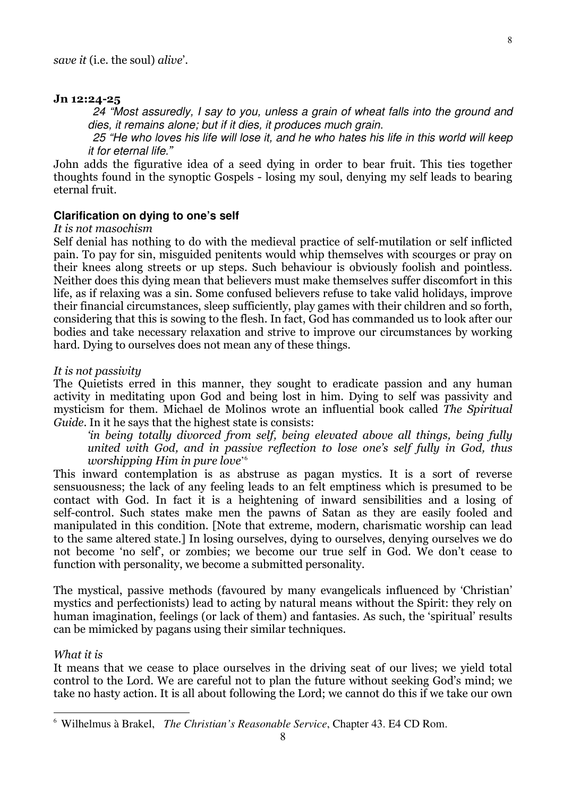#### Jn 12:24-25

 24 "Most assuredly, I say to you, unless a grain of wheat falls into the ground and dies, it remains alone; but if it dies, it produces much grain.

 25 "He who loves his life will lose it, and he who hates his life in this world will keep it for eternal life."

John adds the figurative idea of a seed dying in order to bear fruit. This ties together thoughts found in the synoptic Gospels - losing my soul, denying my self leads to bearing eternal fruit.

#### **Clarification on dying to one's self**

#### It is not masochism

Self denial has nothing to do with the medieval practice of self-mutilation or self inflicted pain. To pay for sin, misguided penitents would whip themselves with scourges or pray on their knees along streets or up steps. Such behaviour is obviously foolish and pointless. Neither does this dying mean that believers must make themselves suffer discomfort in this life, as if relaxing was a sin. Some confused believers refuse to take valid holidays, improve their financial circumstances, sleep sufficiently, play games with their children and so forth, considering that this is sowing to the flesh. In fact, God has commanded us to look after our bodies and take necessary relaxation and strive to improve our circumstances by working hard. Dying to ourselves does not mean any of these things.

#### It is not passivity

The Quietists erred in this manner, they sought to eradicate passion and any human activity in meditating upon God and being lost in him. Dying to self was passivity and mysticism for them. Michael de Molinos wrote an influential book called The Spiritual Guide. In it he says that the highest state is consists:

'in being totally divorced from self, being elevated above all things, being fully united with God, and in passive reflection to lose one's self fully in God, thus worshipping Him in pure love' 6

This inward contemplation is as abstruse as pagan mystics. It is a sort of reverse sensuousness; the lack of any feeling leads to an felt emptiness which is presumed to be contact with God. In fact it is a heightening of inward sensibilities and a losing of self-control. Such states make men the pawns of Satan as they are easily fooled and manipulated in this condition. [Note that extreme, modern, charismatic worship can lead to the same altered state.] In losing ourselves, dying to ourselves, denying ourselves we do not become 'no self', or zombies; we become our true self in God. We don't cease to function with personality, we become a submitted personality.

The mystical, passive methods (favoured by many evangelicals influenced by 'Christian' mystics and perfectionists) lead to acting by natural means without the Spirit: they rely on human imagination, feelings (or lack of them) and fantasies. As such, the 'spiritual' results can be mimicked by pagans using their similar techniques.

#### What it is

 $\overline{a}$ 

It means that we cease to place ourselves in the driving seat of our lives; we yield total control to the Lord. We are careful not to plan the future without seeking God's mind; we take no hasty action. It is all about following the Lord; we cannot do this if we take our own

<sup>6</sup> Wilhelmus à Brakel, *The Christian's Reasonable Service*, Chapter 43. E4 CD Rom.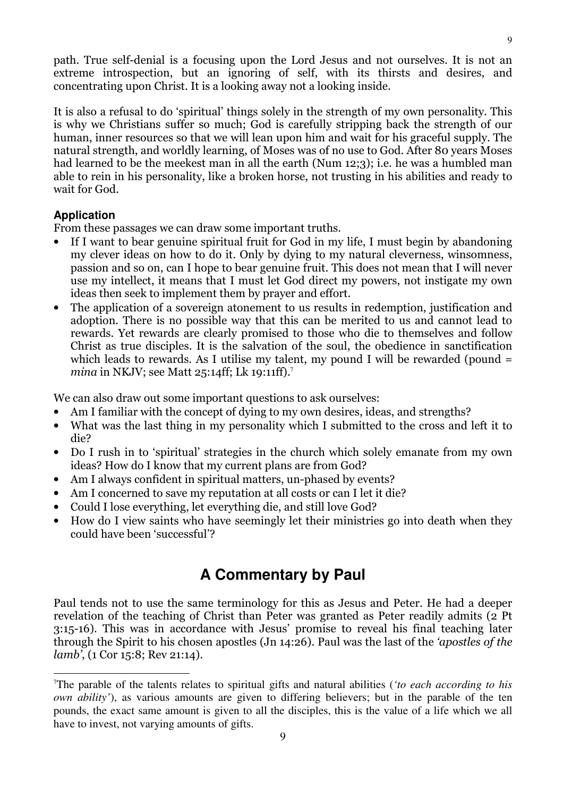path. True self-denial is a focusing upon the Lord Jesus and not ourselves. It is not an extreme introspection, but an ignoring of self, with its thirsts and desires, and concentrating upon Christ. It is a looking away not a looking inside.

It is also a refusal to do 'spiritual' things solely in the strength of my own personality. This is why we Christians suffer so much; God is carefully stripping back the strength of our human, inner resources so that we will lean upon him and wait for his graceful supply. The natural strength, and worldly learning, of Moses was of no use to God. After 80 years Moses had learned to be the meekest man in all the earth (Num 12;3); i.e. he was a humbled man able to rein in his personality, like a broken horse, not trusting in his abilities and ready to wait for God.

#### **Application**

 $\overline{a}$ 

From these passages we can draw some important truths.

- If I want to bear genuine spiritual fruit for God in my life, I must begin by abandoning my clever ideas on how to do it. Only by dying to my natural cleverness, winsomness, passion and so on, can I hope to bear genuine fruit. This does not mean that I will never use my intellect, it means that I must let God direct my powers, not instigate my own ideas then seek to implement them by prayer and effort.
- The application of a sovereign atonement to us results in redemption, justification and adoption. There is no possible way that this can be merited to us and cannot lead to rewards. Yet rewards are clearly promised to those who die to themselves and follow Christ as true disciples. It is the salvation of the soul, the obedience in sanctification which leads to rewards. As I utilise my talent, my pound I will be rewarded (pound = mina in NKJV; see Matt  $25:14$ ff; Lk 19:11ff).<sup>7</sup>

We can also draw out some important questions to ask ourselves:

- Am I familiar with the concept of dying to my own desires, ideas, and strengths?
- What was the last thing in my personality which I submitted to the cross and left it to die?
- Do I rush in to 'spiritual' strategies in the church which solely emanate from my own ideas? How do I know that my current plans are from God?
- Am I always confident in spiritual matters, un-phased by events?
- Am I concerned to save my reputation at all costs or can I let it die?
- Could I lose everything, let everything die, and still love God?
- How do I view saints who have seemingly let their ministries go into death when they could have been 'successful'?

# **A Commentary by Paul**

Paul tends not to use the same terminology for this as Jesus and Peter. He had a deeper revelation of the teaching of Christ than Peter was granted as Peter readily admits (2 Pt 3:15-16). This was in accordance with Jesus' promise to reveal his final teaching later through the Spirit to his chosen apostles (Jn 14:26). Paul was the last of the 'apostles of the lamb', (1 Cor 15:8; Rev 21:14).

<sup>7</sup>The parable of the talents relates to spiritual gifts and natural abilities (*'to each according to his own ability'*), as various amounts are given to differing believers; but in the parable of the ten pounds, the exact same amount is given to all the disciples, this is the value of a life which we all have to invest, not varying amounts of gifts.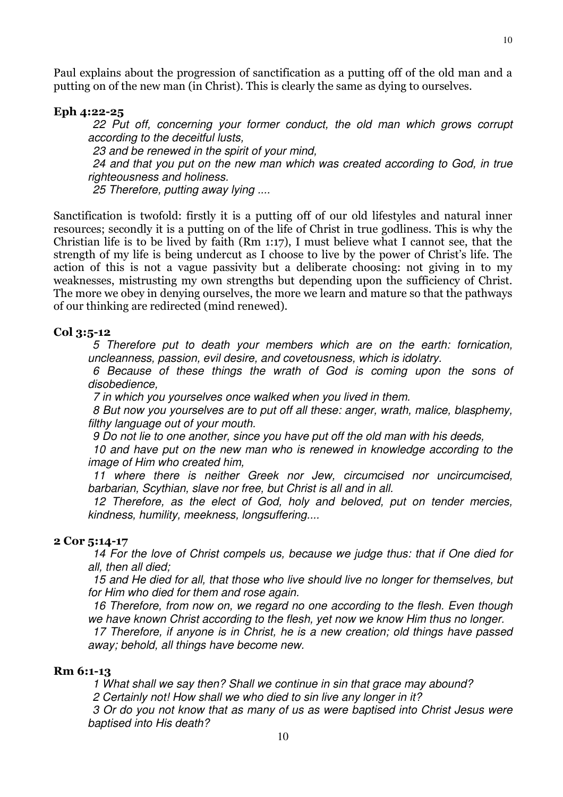10

Paul explains about the progression of sanctification as a putting off of the old man and a putting on of the new man (in Christ). This is clearly the same as dying to ourselves.

#### Eph 4:22-25

 22 Put off, concerning your former conduct, the old man which grows corrupt according to the deceitful lusts,

23 and be renewed in the spirit of your mind.

 24 and that you put on the new man which was created according to God, in true righteousness and holiness.

25 Therefore, putting away lying ....

Sanctification is twofold: firstly it is a putting off of our old lifestyles and natural inner resources; secondly it is a putting on of the life of Christ in true godliness. This is why the Christian life is to be lived by faith (Rm 1:17), I must believe what I cannot see, that the strength of my life is being undercut as I choose to live by the power of Christ's life. The action of this is not a vague passivity but a deliberate choosing: not giving in to my weaknesses, mistrusting my own strengths but depending upon the sufficiency of Christ. The more we obey in denying ourselves, the more we learn and mature so that the pathways of our thinking are redirected (mind renewed).

#### Col 3:5-12

5 Therefore put to death your members which are on the earth: fornication, uncleanness, passion, evil desire, and covetousness, which is idolatry.

 6 Because of these things the wrath of God is coming upon the sons of disobedience,

7 in which you yourselves once walked when you lived in them.

 8 But now you yourselves are to put off all these: anger, wrath, malice, blasphemy, filthy language out of your mouth.

9 Do not lie to one another, since you have put off the old man with his deeds,

 10 and have put on the new man who is renewed in knowledge according to the image of Him who created him,

 11 where there is neither Greek nor Jew, circumcised nor uncircumcised, barbarian, Scythian, slave nor free, but Christ is all and in all.

 12 Therefore, as the elect of God, holy and beloved, put on tender mercies, kindness, humility, meekness, longsuffering....

#### 2 Cor 5:14-17

 14 For the love of Christ compels us, because we judge thus: that if One died for all, then all died;

 15 and He died for all, that those who live should live no longer for themselves, but for Him who died for them and rose again.

 16 Therefore, from now on, we regard no one according to the flesh. Even though we have known Christ according to the flesh, yet now we know Him thus no longer.

 17 Therefore, if anyone is in Christ, he is a new creation; old things have passed away; behold, all things have become new.

#### Rm 6:1-13

1 What shall we say then? Shall we continue in sin that grace may abound?

2 Certainly not! How shall we who died to sin live any longer in it?

 3 Or do you not know that as many of us as were baptised into Christ Jesus were baptised into His death?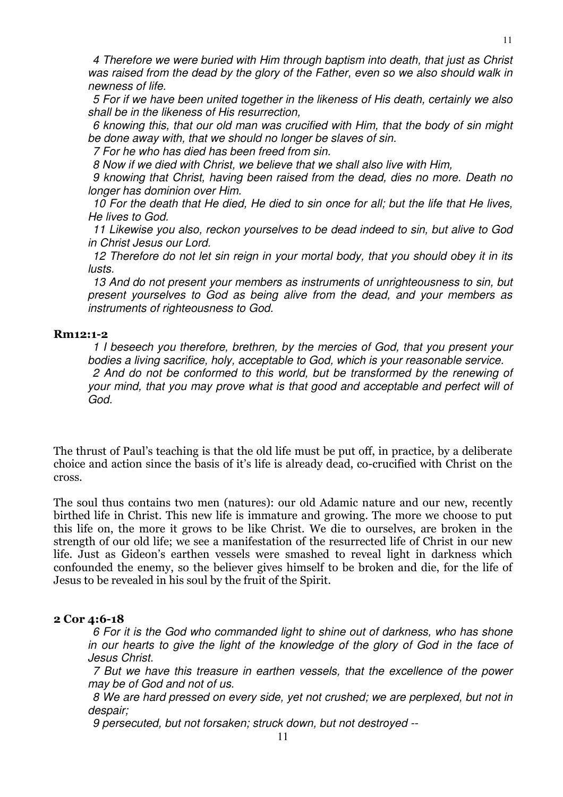5 For if we have been united together in the likeness of His death, certainly we also shall be in the likeness of His resurrection,

 6 knowing this, that our old man was crucified with Him, that the body of sin might be done away with, that we should no longer be slaves of sin.

7 For he who has died has been freed from sin.

8 Now if we died with Christ, we believe that we shall also live with Him,

 9 knowing that Christ, having been raised from the dead, dies no more. Death no longer has dominion over Him.

 10 For the death that He died, He died to sin once for all; but the life that He lives, He lives to God.

 11 Likewise you also, reckon yourselves to be dead indeed to sin, but alive to God in Christ Jesus our Lord.

 12 Therefore do not let sin reign in your mortal body, that you should obey it in its lusts.

13 And do not present your members as instruments of unrighteousness to sin, but present yourselves to God as being alive from the dead, and your members as instruments of righteousness to God.

#### Rm12:1-2

1 I beseech you therefore, brethren, by the mercies of God, that you present your bodies a living sacrifice, holy, acceptable to God, which is your reasonable service. 2 And do not be conformed to this world, but be transformed by the renewing of your mind, that you may prove what is that good and acceptable and perfect will of God.

The thrust of Paul's teaching is that the old life must be put off, in practice, by a deliberate choice and action since the basis of it's life is already dead, co-crucified with Christ on the cross.

The soul thus contains two men (natures): our old Adamic nature and our new, recently birthed life in Christ. This new life is immature and growing. The more we choose to put this life on, the more it grows to be like Christ. We die to ourselves, are broken in the strength of our old life; we see a manifestation of the resurrected life of Christ in our new life. Just as Gideon's earthen vessels were smashed to reveal light in darkness which confounded the enemy, so the believer gives himself to be broken and die, for the life of Jesus to be revealed in his soul by the fruit of the Spirit.

#### 2 Cor 4:6-18

6 For it is the God who commanded light to shine out of darkness, who has shone in our hearts to give the light of the knowledge of the glory of God in the face of Jesus Christ.

 7 But we have this treasure in earthen vessels, that the excellence of the power may be of God and not of us.

 8 We are hard pressed on every side, yet not crushed; we are perplexed, but not in despair;

9 persecuted, but not forsaken; struck down, but not destroyed --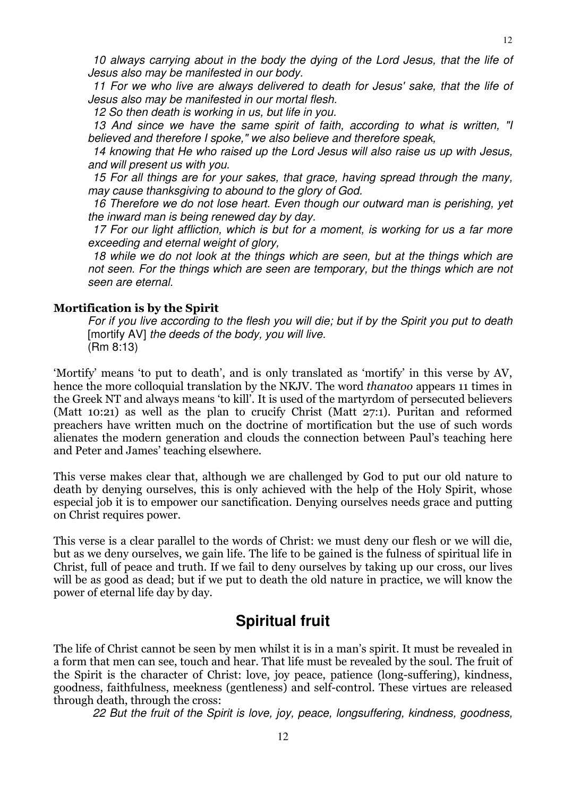11 For we who live are always delivered to death for Jesus' sake, that the life of Jesus also may be manifested in our mortal flesh.

12 So then death is working in us, but life in you.

 13 And since we have the same spirit of faith, according to what is written, "I believed and therefore I spoke," we also believe and therefore speak,

 14 knowing that He who raised up the Lord Jesus will also raise us up with Jesus, and will present us with you.

 15 For all things are for your sakes, that grace, having spread through the many, may cause thanksgiving to abound to the glory of God.

 16 Therefore we do not lose heart. Even though our outward man is perishing, yet the inward man is being renewed day by day.

 17 For our light affliction, which is but for a moment, is working for us a far more exceeding and eternal weight of glory,

 18 while we do not look at the things which are seen, but at the things which are not seen. For the things which are seen are temporary, but the things which are not seen are eternal.

#### Mortification is by the Spirit

For if you live according to the flesh you will die; but if by the Spirit you put to death [mortify AV] the deeds of the body, you will live. (Rm 8:13)

'Mortify' means 'to put to death', and is only translated as 'mortify' in this verse by AV, hence the more colloquial translation by the NKJV. The word thanatoo appears 11 times in the Greek NT and always means 'to kill'. It is used of the martyrdom of persecuted believers (Matt 10:21) as well as the plan to crucify Christ (Matt 27:1). Puritan and reformed preachers have written much on the doctrine of mortification but the use of such words alienates the modern generation and clouds the connection between Paul's teaching here and Peter and James' teaching elsewhere.

This verse makes clear that, although we are challenged by God to put our old nature to death by denying ourselves, this is only achieved with the help of the Holy Spirit, whose especial job it is to empower our sanctification. Denying ourselves needs grace and putting on Christ requires power.

This verse is a clear parallel to the words of Christ: we must deny our flesh or we will die, but as we deny ourselves, we gain life. The life to be gained is the fulness of spiritual life in Christ, full of peace and truth. If we fail to deny ourselves by taking up our cross, our lives will be as good as dead; but if we put to death the old nature in practice, we will know the power of eternal life day by day.

# **Spiritual fruit**

The life of Christ cannot be seen by men whilst it is in a man's spirit. It must be revealed in a form that men can see, touch and hear. That life must be revealed by the soul. The fruit of the Spirit is the character of Christ: love, joy peace, patience (long-suffering), kindness, goodness, faithfulness, meekness (gentleness) and self-control. These virtues are released through death, through the cross:

22 But the fruit of the Spirit is love, joy, peace, longsuffering, kindness, goodness,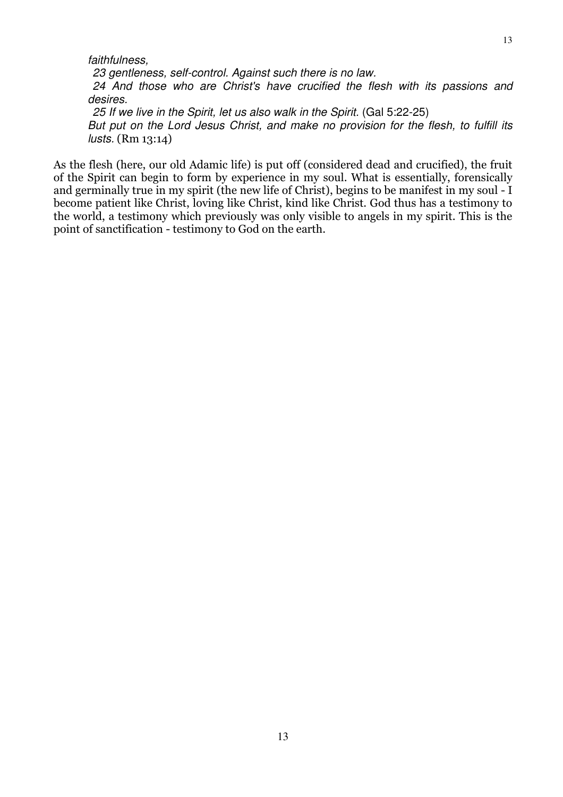23 gentleness, self-control. Against such there is no law. 24 And those who are Christ's have crucified the flesh with its passions and desires. 25 If we live in the Spirit, let us also walk in the Spirit. (Gal 5:22-25)

But put on the Lord Jesus Christ, and make no provision for the flesh, to fulfill its lusts. (Rm 13:14)

As the flesh (here, our old Adamic life) is put off (considered dead and crucified), the fruit of the Spirit can begin to form by experience in my soul. What is essentially, forensically and germinally true in my spirit (the new life of Christ), begins to be manifest in my soul - I become patient like Christ, loving like Christ, kind like Christ. God thus has a testimony to the world, a testimony which previously was only visible to angels in my spirit. This is the point of sanctification - testimony to God on the earth.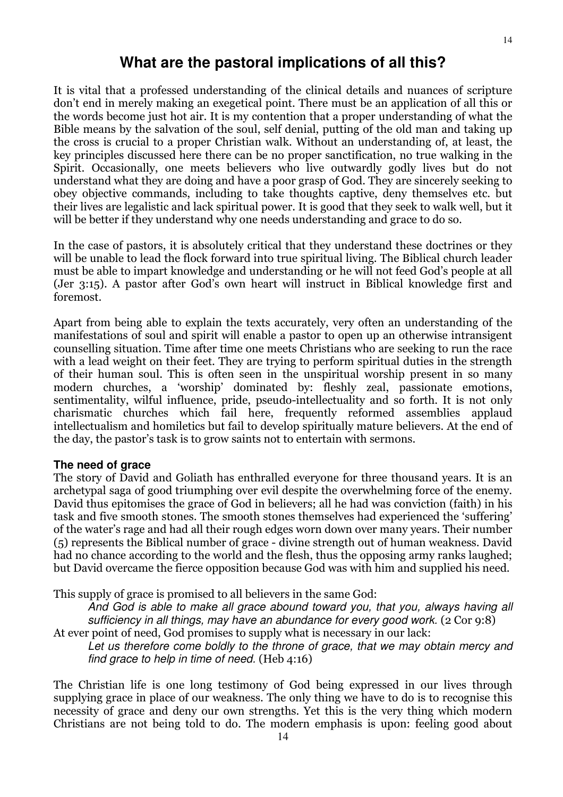### **What are the pastoral implications of all this?**

It is vital that a professed understanding of the clinical details and nuances of scripture don't end in merely making an exegetical point. There must be an application of all this or the words become just hot air. It is my contention that a proper understanding of what the Bible means by the salvation of the soul, self denial, putting of the old man and taking up the cross is crucial to a proper Christian walk. Without an understanding of, at least, the key principles discussed here there can be no proper sanctification, no true walking in the Spirit. Occasionally, one meets believers who live outwardly godly lives but do not understand what they are doing and have a poor grasp of God. They are sincerely seeking to obey objective commands, including to take thoughts captive, deny themselves etc. but their lives are legalistic and lack spiritual power. It is good that they seek to walk well, but it will be better if they understand why one needs understanding and grace to do so.

In the case of pastors, it is absolutely critical that they understand these doctrines or they will be unable to lead the flock forward into true spiritual living. The Biblical church leader must be able to impart knowledge and understanding or he will not feed God's people at all (Jer 3:15). A pastor after God's own heart will instruct in Biblical knowledge first and foremost.

Apart from being able to explain the texts accurately, very often an understanding of the manifestations of soul and spirit will enable a pastor to open up an otherwise intransigent counselling situation. Time after time one meets Christians who are seeking to run the race with a lead weight on their feet. They are trying to perform spiritual duties in the strength of their human soul. This is often seen in the unspiritual worship present in so many modern churches, a 'worship' dominated by: fleshly zeal, passionate emotions, sentimentality, wilful influence, pride, pseudo-intellectuality and so forth. It is not only charismatic churches which fail here, frequently reformed assemblies applaud intellectualism and homiletics but fail to develop spiritually mature believers. At the end of the day, the pastor's task is to grow saints not to entertain with sermons.

#### **The need of grace**

The story of David and Goliath has enthralled everyone for three thousand years. It is an archetypal saga of good triumphing over evil despite the overwhelming force of the enemy. David thus epitomises the grace of God in believers; all he had was conviction (faith) in his task and five smooth stones. The smooth stones themselves had experienced the 'suffering' of the water's rage and had all their rough edges worn down over many years. Their number (5) represents the Biblical number of grace - divine strength out of human weakness. David had no chance according to the world and the flesh, thus the opposing army ranks laughed; but David overcame the fierce opposition because God was with him and supplied his need.

This supply of grace is promised to all believers in the same God:

And God is able to make all grace abound toward you, that you, always having all sufficiency in all things, may have an abundance for every good work. (2 Cor 9:8) At ever point of need, God promises to supply what is necessary in our lack:

Let us therefore come boldly to the throne of grace, that we may obtain mercy and find grace to help in time of need. (Heb 4:16)

The Christian life is one long testimony of God being expressed in our lives through supplying grace in place of our weakness. The only thing we have to do is to recognise this necessity of grace and deny our own strengths. Yet this is the very thing which modern Christians are not being told to do. The modern emphasis is upon: feeling good about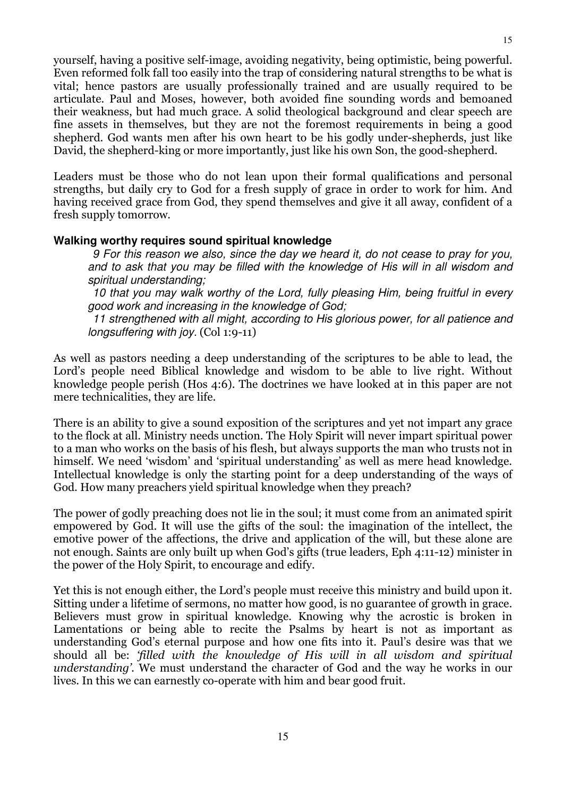yourself, having a positive self-image, avoiding negativity, being optimistic, being powerful. Even reformed folk fall too easily into the trap of considering natural strengths to be what is vital; hence pastors are usually professionally trained and are usually required to be articulate. Paul and Moses, however, both avoided fine sounding words and bemoaned their weakness, but had much grace. A solid theological background and clear speech are fine assets in themselves, but they are not the foremost requirements in being a good shepherd. God wants men after his own heart to be his godly under-shepherds, just like David, the shepherd-king or more importantly, just like his own Son, the good-shepherd.

Leaders must be those who do not lean upon their formal qualifications and personal strengths, but daily cry to God for a fresh supply of grace in order to work for him. And having received grace from God, they spend themselves and give it all away, confident of a fresh supply tomorrow.

#### **Walking worthy requires sound spiritual knowledge**

 9 For this reason we also, since the day we heard it, do not cease to pray for you, and to ask that you may be filled with the knowledge of His will in all wisdom and spiritual understanding;

 10 that you may walk worthy of the Lord, fully pleasing Him, being fruitful in every good work and increasing in the knowledge of God;

 11 strengthened with all might, according to His glorious power, for all patience and longsuffering with joy. (Col 1:9-11)

As well as pastors needing a deep understanding of the scriptures to be able to lead, the Lord's people need Biblical knowledge and wisdom to be able to live right. Without knowledge people perish (Hos 4:6). The doctrines we have looked at in this paper are not mere technicalities, they are life.

There is an ability to give a sound exposition of the scriptures and yet not impart any grace to the flock at all. Ministry needs unction. The Holy Spirit will never impart spiritual power to a man who works on the basis of his flesh, but always supports the man who trusts not in himself. We need 'wisdom' and 'spiritual understanding' as well as mere head knowledge. Intellectual knowledge is only the starting point for a deep understanding of the ways of God. How many preachers yield spiritual knowledge when they preach?

The power of godly preaching does not lie in the soul; it must come from an animated spirit empowered by God. It will use the gifts of the soul: the imagination of the intellect, the emotive power of the affections, the drive and application of the will, but these alone are not enough. Saints are only built up when God's gifts (true leaders, Eph 4:11-12) minister in the power of the Holy Spirit, to encourage and edify.

Yet this is not enough either, the Lord's people must receive this ministry and build upon it. Sitting under a lifetime of sermons, no matter how good, is no guarantee of growth in grace. Believers must grow in spiritual knowledge. Knowing why the acrostic is broken in Lamentations or being able to recite the Psalms by heart is not as important as understanding God's eternal purpose and how one fits into it. Paul's desire was that we should all be: 'filled with the knowledge of His will in all wisdom and spiritual understanding'. We must understand the character of God and the way he works in our lives. In this we can earnestly co-operate with him and bear good fruit.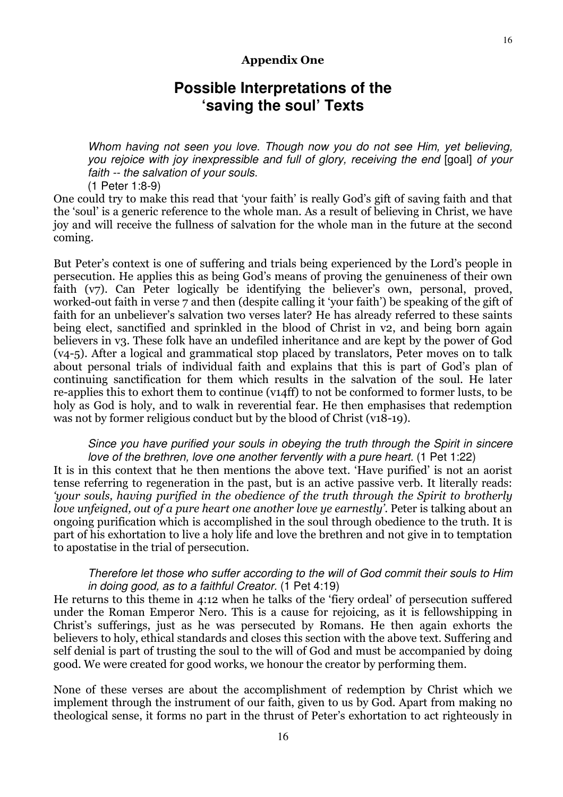#### Appendix One

# **Possible Interpretations of the 'saving the soul' Texts**

Whom having not seen you love. Though now you do not see Him, yet believing, you rejoice with joy inexpressible and full of glory, receiving the end [goal] of your faith -- the salvation of your souls.

(1 Peter 1:8-9)

One could try to make this read that 'your faith' is really God's gift of saving faith and that the 'soul' is a generic reference to the whole man. As a result of believing in Christ, we have joy and will receive the fullness of salvation for the whole man in the future at the second coming.

But Peter's context is one of suffering and trials being experienced by the Lord's people in persecution. He applies this as being God's means of proving the genuineness of their own faith (v7). Can Peter logically be identifying the believer's own, personal, proved, worked-out faith in verse 7 and then (despite calling it 'your faith') be speaking of the gift of faith for an unbeliever's salvation two verses later? He has already referred to these saints being elect, sanctified and sprinkled in the blood of Christ in v2, and being born again believers in v3. These folk have an undefiled inheritance and are kept by the power of God (v4-5). After a logical and grammatical stop placed by translators, Peter moves on to talk about personal trials of individual faith and explains that this is part of God's plan of continuing sanctification for them which results in the salvation of the soul. He later re-applies this to exhort them to continue (v14ff) to not be conformed to former lusts, to be holy as God is holy, and to walk in reverential fear. He then emphasises that redemption was not by former religious conduct but by the blood of Christ (v18-19).

#### Since you have purified your souls in obeying the truth through the Spirit in sincere love of the brethren, love one another fervently with a pure heart. (1 Pet 1:22)

It is in this context that he then mentions the above text. 'Have purified' is not an aorist tense referring to regeneration in the past, but is an active passive verb. It literally reads: 'your souls, having purified in the obedience of the truth through the Spirit to brotherly love unfeigned, out of a pure heart one another love ye earnestly'. Peter is talking about an ongoing purification which is accomplished in the soul through obedience to the truth. It is part of his exhortation to live a holy life and love the brethren and not give in to temptation to apostatise in the trial of persecution.

#### Therefore let those who suffer according to the will of God commit their souls to Him in doing good, as to a faithful Creator. (1 Pet 4:19)

He returns to this theme in 4:12 when he talks of the 'fiery ordeal' of persecution suffered under the Roman Emperor Nero. This is a cause for rejoicing, as it is fellowshipping in Christ's sufferings, just as he was persecuted by Romans. He then again exhorts the believers to holy, ethical standards and closes this section with the above text. Suffering and self denial is part of trusting the soul to the will of God and must be accompanied by doing good. We were created for good works, we honour the creator by performing them.

None of these verses are about the accomplishment of redemption by Christ which we implement through the instrument of our faith, given to us by God. Apart from making no theological sense, it forms no part in the thrust of Peter's exhortation to act righteously in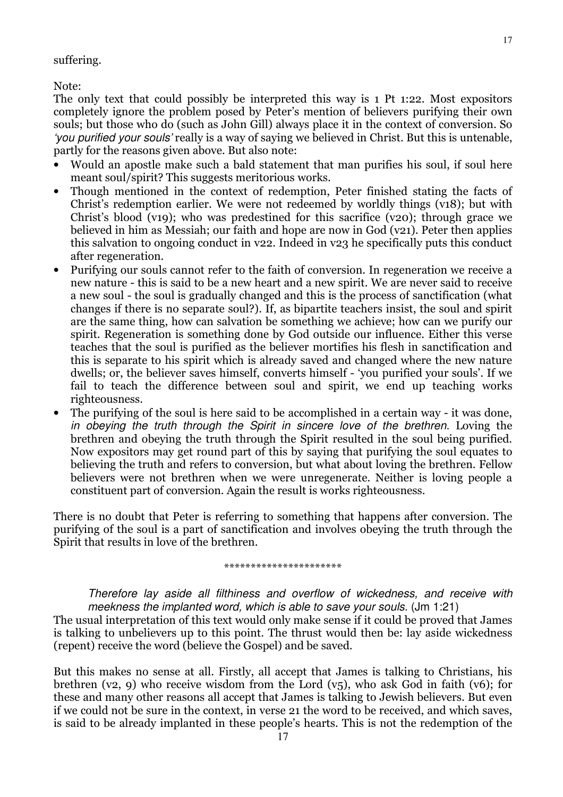#### suffering.

Note:

The only text that could possibly be interpreted this way is 1 Pt 1:22. Most expositors completely ignore the problem posed by Peter's mention of believers purifying their own souls; but those who do (such as John Gill) always place it in the context of conversion. So 'you purified your souls' really is a way of saying we believed in Christ. But this is untenable, partly for the reasons given above. But also note:

- Would an apostle make such a bald statement that man purifies his soul, if soul here meant soul/spirit? This suggests meritorious works.
- Though mentioned in the context of redemption, Peter finished stating the facts of Christ's redemption earlier. We were not redeemed by worldly things (v18); but with Christ's blood (v19); who was predestined for this sacrifice (v20); through grace we believed in him as Messiah; our faith and hope are now in God (v21). Peter then applies this salvation to ongoing conduct in v22. Indeed in v23 he specifically puts this conduct after regeneration.
- Purifying our souls cannot refer to the faith of conversion. In regeneration we receive a new nature - this is said to be a new heart and a new spirit. We are never said to receive a new soul - the soul is gradually changed and this is the process of sanctification (what changes if there is no separate soul?). If, as bipartite teachers insist, the soul and spirit are the same thing, how can salvation be something we achieve; how can we purify our spirit. Regeneration is something done by God outside our influence. Either this verse teaches that the soul is purified as the believer mortifies his flesh in sanctification and this is separate to his spirit which is already saved and changed where the new nature dwells; or, the believer saves himself, converts himself - 'you purified your souls'. If we fail to teach the difference between soul and spirit, we end up teaching works righteousness.
- The purifying of the soul is here said to be accomplished in a certain way it was done, in obeying the truth through the Spirit in sincere love of the brethren. Loving the brethren and obeying the truth through the Spirit resulted in the soul being purified. Now expositors may get round part of this by saying that purifying the soul equates to believing the truth and refers to conversion, but what about loving the brethren. Fellow believers were not brethren when we were unregenerate. Neither is loving people a constituent part of conversion. Again the result is works righteousness.

There is no doubt that Peter is referring to something that happens after conversion. The purifying of the soul is a part of sanctification and involves obeying the truth through the Spirit that results in love of the brethren.

\*\*\*\*\*\*\*\*\*\*\*\*\*\*\*\*\*\*\*\*\*\*

Therefore lay aside all filthiness and overflow of wickedness, and receive with meekness the implanted word, which is able to save your souls. (Jm 1:21)

The usual interpretation of this text would only make sense if it could be proved that James is talking to unbelievers up to this point. The thrust would then be: lay aside wickedness (repent) receive the word (believe the Gospel) and be saved.

But this makes no sense at all. Firstly, all accept that James is talking to Christians, his brethren (v2, 9) who receive wisdom from the Lord (v $5$ ), who ask God in faith (v $6$ ); for these and many other reasons all accept that James is talking to Jewish believers. But even if we could not be sure in the context, in verse 21 the word to be received, and which saves, is said to be already implanted in these people's hearts. This is not the redemption of the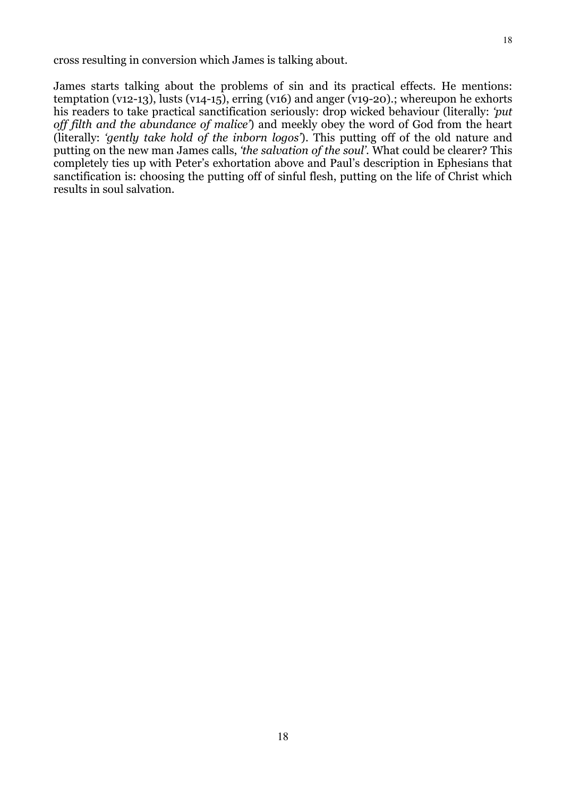James starts talking about the problems of sin and its practical effects. He mentions: temptation (v12-13), lusts (v14-15), erring (v16) and anger (v19-20).; whereupon he exhorts his readers to take practical sanctification seriously: drop wicked behaviour (literally: 'put off filth and the abundance of malice') and meekly obey the word of God from the heart (literally: 'gently take hold of the inborn logos'). This putting off of the old nature and putting on the new man James calls, 'the salvation of the soul'. What could be clearer? This completely ties up with Peter's exhortation above and Paul's description in Ephesians that sanctification is: choosing the putting off of sinful flesh, putting on the life of Christ which results in soul salvation.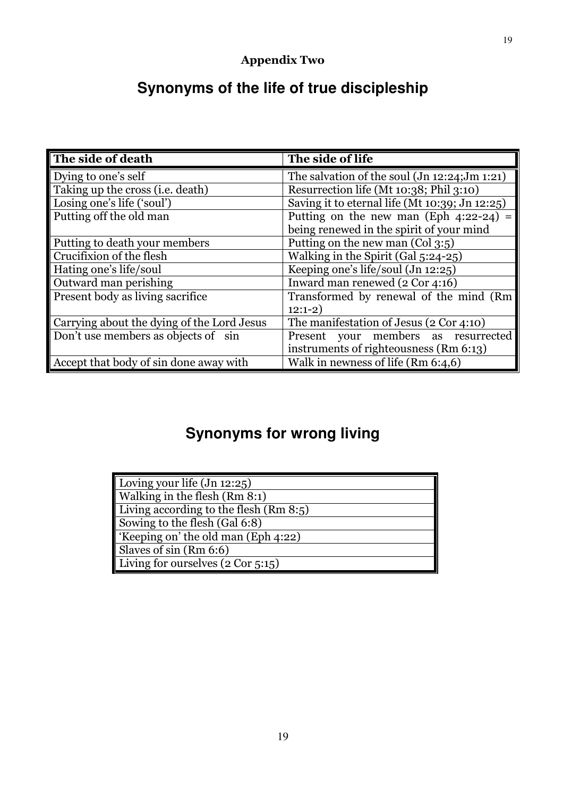# **Synonyms of the life of true discipleship**

| The side of death                          | The side of life                                      |
|--------------------------------------------|-------------------------------------------------------|
| Dying to one's self                        | The salvation of the soul $($ Jn 12:24; $Jm$ 1:21 $)$ |
| Taking up the cross ( <i>i.e.</i> death)   | Resurrection life (Mt 10:38; Phil 3:10)               |
| Losing one's life ('soul')                 | Saving it to eternal life (Mt 10:39; Jn 12:25)        |
| Putting off the old man                    | Putting on the new man (Eph $4:22-24$ ) =             |
|                                            | being renewed in the spirit of your mind              |
| Putting to death your members              | Putting on the new man $(Col 3:5)$                    |
| Crucifixion of the flesh                   | Walking in the Spirit (Gal 5:24-25)                   |
| Hating one's life/soul                     | Keeping one's life/soul (Jn 12:25)                    |
| Outward man perishing                      | Inward man renewed (2 Cor 4:16)                       |
| Present body as living sacrifice           | Transformed by renewal of the mind (Rm)               |
|                                            | $12:1-2)$                                             |
| Carrying about the dying of the Lord Jesus | The manifestation of Jesus (2 Cor 4:10)               |
| Don't use members as objects of sin        | Present your members as resurrected                   |
|                                            | instruments of righteousness (Rm 6:13)                |
| Accept that body of sin done away with     | Walk in newness of life $(Rm 6:4,6)$                  |

# **Synonyms for wrong living**

| Loving your life $(Jn 12:25)$            |
|------------------------------------------|
| Walking in the flesh (Rm 8:1)            |
| Living according to the flesh $(Rm 8:5)$ |
| Sowing to the flesh (Gal 6:8)            |
| 'Keeping on' the old man (Eph 4:22)      |
| Slaves of sin (Rm 6:6)                   |
| Living for ourselves (2 Cor 5:15)        |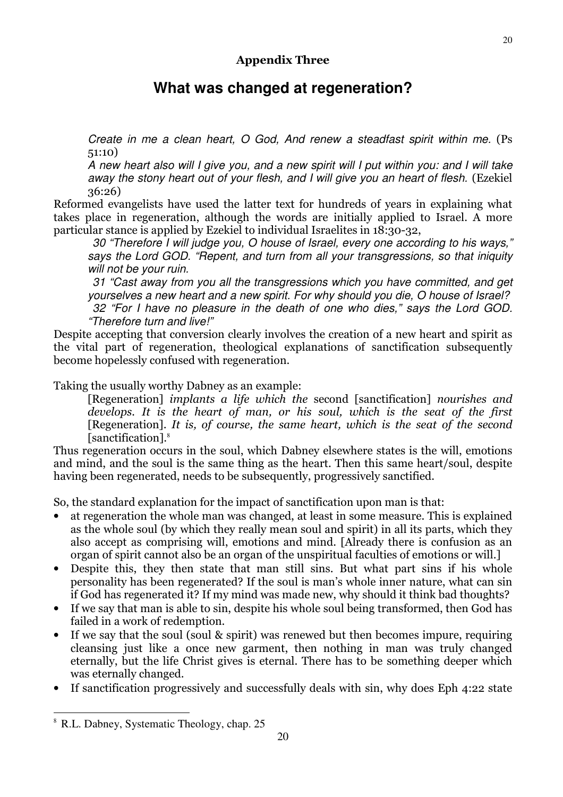# **What was changed at regeneration?**

Create in me a clean heart, O God, And renew a steadfast spirit within me. (Ps 51:10)

A new heart also will I give you, and a new spirit will I put within you: and I will take away the stony heart out of your flesh, and I will give you an heart of flesh. (Ezekiel 36:26)

Reformed evangelists have used the latter text for hundreds of years in explaining what takes place in regeneration, although the words are initially applied to Israel. A more particular stance is applied by Ezekiel to individual Israelites in 18:30-32,

 30 "Therefore I will judge you, O house of Israel, every one according to his ways," says the Lord GOD. "Repent, and turn from all your transgressions, so that iniquity will not be your ruin.

 31 "Cast away from you all the transgressions which you have committed, and get yourselves a new heart and a new spirit. For why should you die, O house of Israel? 32 "For I have no pleasure in the death of one who dies," says the Lord GOD. "Therefore turn and live!"

Despite accepting that conversion clearly involves the creation of a new heart and spirit as the vital part of regeneration, theological explanations of sanctification subsequently become hopelessly confused with regeneration.

Taking the usually worthy Dabney as an example:

[Regeneration] implants a life which the second [sanctification] nourishes and develops. It is the heart of man, or his soul, which is the seat of the first [Regeneration]. It is, of course, the same heart, which is the seat of the second [sanctification].<sup>8</sup>

Thus regeneration occurs in the soul, which Dabney elsewhere states is the will, emotions and mind, and the soul is the same thing as the heart. Then this same heart/soul, despite having been regenerated, needs to be subsequently, progressively sanctified.

So, the standard explanation for the impact of sanctification upon man is that:

- at regeneration the whole man was changed, at least in some measure. This is explained as the whole soul (by which they really mean soul and spirit) in all its parts, which they also accept as comprising will, emotions and mind. [Already there is confusion as an organ of spirit cannot also be an organ of the unspiritual faculties of emotions or will.]
- Despite this, they then state that man still sins. But what part sins if his whole personality has been regenerated? If the soul is man's whole inner nature, what can sin if God has regenerated it? If my mind was made new, why should it think bad thoughts?
- If we say that man is able to sin, despite his whole soul being transformed, then God has failed in a work of redemption.
- If we say that the soul (soul & spirit) was renewed but then becomes impure, requiring cleansing just like a once new garment, then nothing in man was truly changed eternally, but the life Christ gives is eternal. There has to be something deeper which was eternally changed.
- If sanctification progressively and successfully deals with sin, why does Eph 4:22 state

 $\overline{a}$ 

<sup>8</sup> R.L. Dabney, Systematic Theology, chap. 25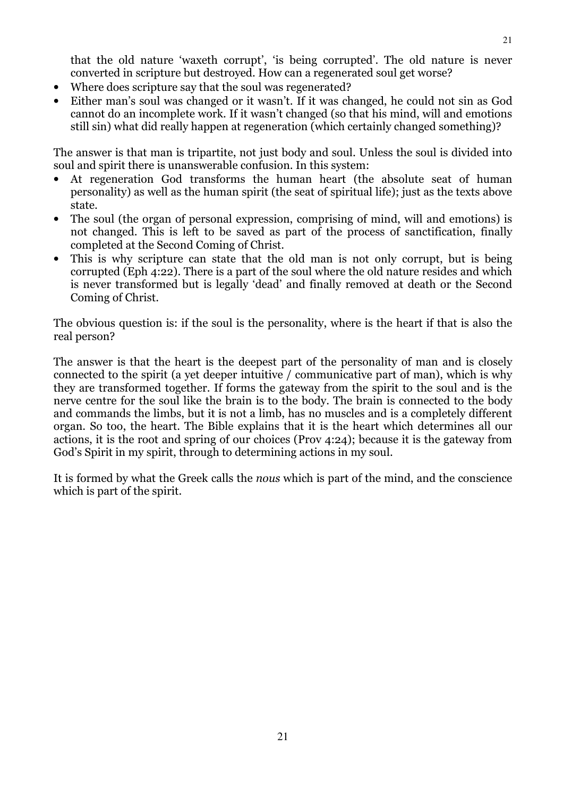that the old nature 'waxeth corrupt', 'is being corrupted'. The old nature is never converted in scripture but destroyed. How can a regenerated soul get worse?

- Where does scripture say that the soul was regenerated?
- Either man's soul was changed or it wasn't. If it was changed, he could not sin as God cannot do an incomplete work. If it wasn't changed (so that his mind, will and emotions still sin) what did really happen at regeneration (which certainly changed something)?

The answer is that man is tripartite, not just body and soul. Unless the soul is divided into soul and spirit there is unanswerable confusion. In this system:

- At regeneration God transforms the human heart (the absolute seat of human personality) as well as the human spirit (the seat of spiritual life); just as the texts above state.
- The soul (the organ of personal expression, comprising of mind, will and emotions) is not changed. This is left to be saved as part of the process of sanctification, finally completed at the Second Coming of Christ.
- This is why scripture can state that the old man is not only corrupt, but is being corrupted (Eph 4:22). There is a part of the soul where the old nature resides and which is never transformed but is legally 'dead' and finally removed at death or the Second Coming of Christ.

The obvious question is: if the soul is the personality, where is the heart if that is also the real person?

The answer is that the heart is the deepest part of the personality of man and is closely connected to the spirit (a yet deeper intuitive / communicative part of man), which is why they are transformed together. If forms the gateway from the spirit to the soul and is the nerve centre for the soul like the brain is to the body. The brain is connected to the body and commands the limbs, but it is not a limb, has no muscles and is a completely different organ. So too, the heart. The Bible explains that it is the heart which determines all our actions, it is the root and spring of our choices (Prov 4:24); because it is the gateway from God's Spirit in my spirit, through to determining actions in my soul.

It is formed by what the Greek calls the nous which is part of the mind, and the conscience which is part of the spirit.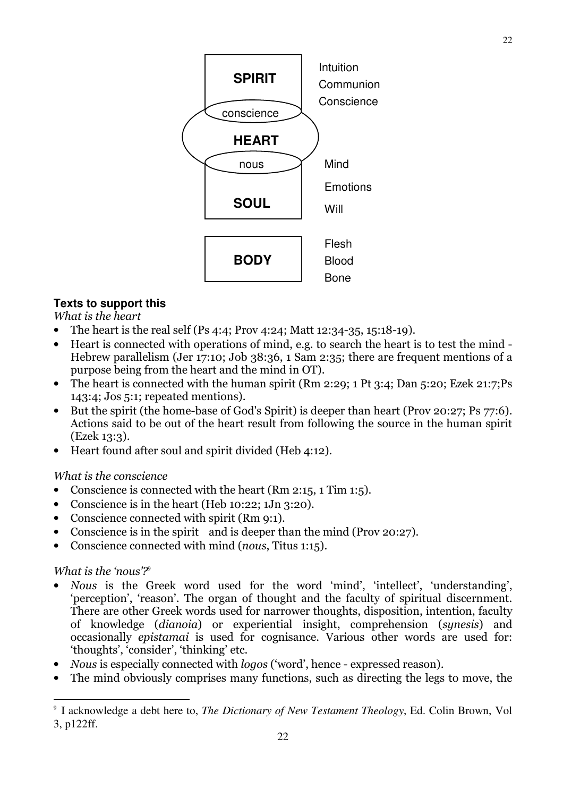

### **Texts to support this**

What is the heart

- The heart is the real self (Ps 4:4; Prov 4:24; Matt 12:34-35, 15:18-19).
- Heart is connected with operations of mind, e.g. to search the heart is to test the mind Hebrew parallelism (Jer 17:10; Job 38:36, 1 Sam 2:35; there are frequent mentions of a purpose being from the heart and the mind in OT).
- The heart is connected with the human spirit (Rm 2:29; 1 Pt 3:4; Dan 5:20; Ezek 21:7;Ps 143:4; Jos 5:1; repeated mentions).
- But the spirit (the home-base of God's Spirit) is deeper than heart (Prov 20:27; Ps 77:6). Actions said to be out of the heart result from following the source in the human spirit (Ezek 13:3).
- Heart found after soul and spirit divided (Heb 4:12).

#### What is the conscience

- Conscience is connected with the heart (Rm 2:15, 1 Tim 1:5).
- Conscience is in the heart (Heb 10:22; 1Jn 3:20).
- Conscience connected with spirit (Rm 9:1).
- Conscience is in the spirit and is deeper than the mind (Prov 20:27).
- Conscience connected with mind (nous, Titus 1:15).

#### What is the 'nous'? $\frac{9}{2}$

 $\overline{a}$ 

- Nous is the Greek word used for the word 'mind', 'intellect', 'understanding', 'perception', 'reason'. The organ of thought and the faculty of spiritual discernment. There are other Greek words used for narrower thoughts, disposition, intention, faculty of knowledge (dianoia) or experiential insight, comprehension (synesis) and occasionally epistamai is used for cognisance. Various other words are used for: 'thoughts', 'consider', 'thinking' etc.
- Nous is especially connected with *logos* ('word', hence expressed reason).
- The mind obviously comprises many functions, such as directing the legs to move, the

<sup>9</sup> I acknowledge a debt here to, *The Dictionary of New Testament Theology*, Ed. Colin Brown, Vol 3, p122ff.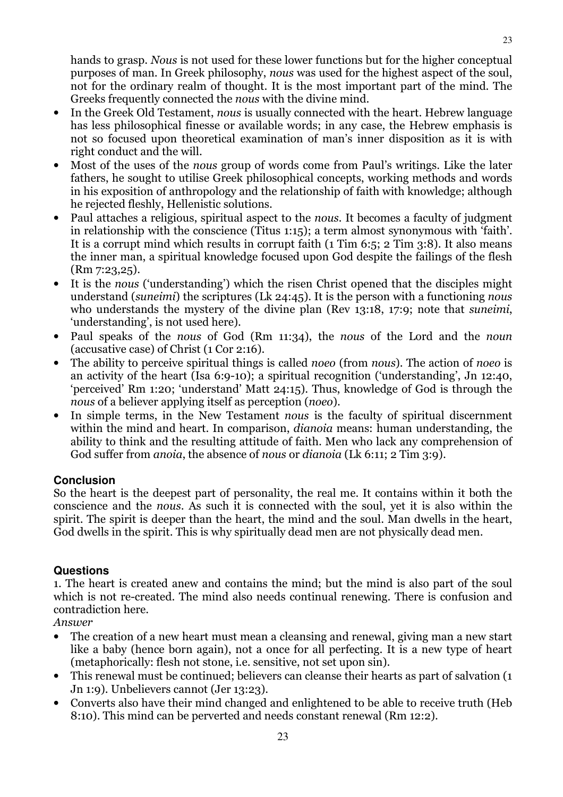hands to grasp. Nous is not used for these lower functions but for the higher conceptual purposes of man. In Greek philosophy, nous was used for the highest aspect of the soul, not for the ordinary realm of thought. It is the most important part of the mind. The Greeks frequently connected the nous with the divine mind.

- In the Greek Old Testament, nous is usually connected with the heart. Hebrew language has less philosophical finesse or available words; in any case, the Hebrew emphasis is not so focused upon theoretical examination of man's inner disposition as it is with right conduct and the will.
- Most of the uses of the *nous* group of words come from Paul's writings. Like the later fathers, he sought to utilise Greek philosophical concepts, working methods and words in his exposition of anthropology and the relationship of faith with knowledge; although he rejected fleshly, Hellenistic solutions.
- Paul attaches a religious, spiritual aspect to the nous. It becomes a faculty of judgment in relationship with the conscience (Titus 1:15); a term almost synonymous with 'faith'. It is a corrupt mind which results in corrupt faith (1 Tim 6:5; 2 Tim 3:8). It also means the inner man, a spiritual knowledge focused upon God despite the failings of the flesh (Rm 7:23,25).
- It is the nous ('understanding') which the risen Christ opened that the disciples might understand (suneimi) the scriptures (Lk 24:45). It is the person with a functioning nous who understands the mystery of the divine plan (Rev 13:18, 17:9; note that suneimi, 'understanding', is not used here).
- Paul speaks of the nous of God (Rm 11:34), the nous of the Lord and the noun (accusative case) of Christ (1 Cor 2:16).
- The ability to perceive spiritual things is called *noeo* (from *nous*). The action of *noeo* is an activity of the heart (Isa 6:9-10); a spiritual recognition ('understanding', Jn 12:40, 'perceived' Rm 1:20; 'understand' Matt 24:15). Thus, knowledge of God is through the nous of a believer applying itself as perception (*noeo*).
- In simple terms, in the New Testament nous is the faculty of spiritual discernment within the mind and heart. In comparison, *dianoia* means: human understanding, the ability to think and the resulting attitude of faith. Men who lack any comprehension of God suffer from *anoia*, the absence of *nous* or *dianoia* (Lk 6:11; 2 Tim 3:9).

#### **Conclusion**

So the heart is the deepest part of personality, the real me. It contains within it both the conscience and the nous. As such it is connected with the soul, yet it is also within the spirit. The spirit is deeper than the heart, the mind and the soul. Man dwells in the heart, God dwells in the spirit. This is why spiritually dead men are not physically dead men.

#### **Questions**

1. The heart is created anew and contains the mind; but the mind is also part of the soul which is not re-created. The mind also needs continual renewing. There is confusion and contradiction here.

Answer

- The creation of a new heart must mean a cleansing and renewal, giving man a new start like a baby (hence born again), not a once for all perfecting. It is a new type of heart (metaphorically: flesh not stone, i.e. sensitive, not set upon sin).
- This renewal must be continued; believers can cleanse their hearts as part of salvation (1) Jn 1:9). Unbelievers cannot (Jer 13:23).
- Converts also have their mind changed and enlightened to be able to receive truth (Heb 8:10). This mind can be perverted and needs constant renewal (Rm 12:2).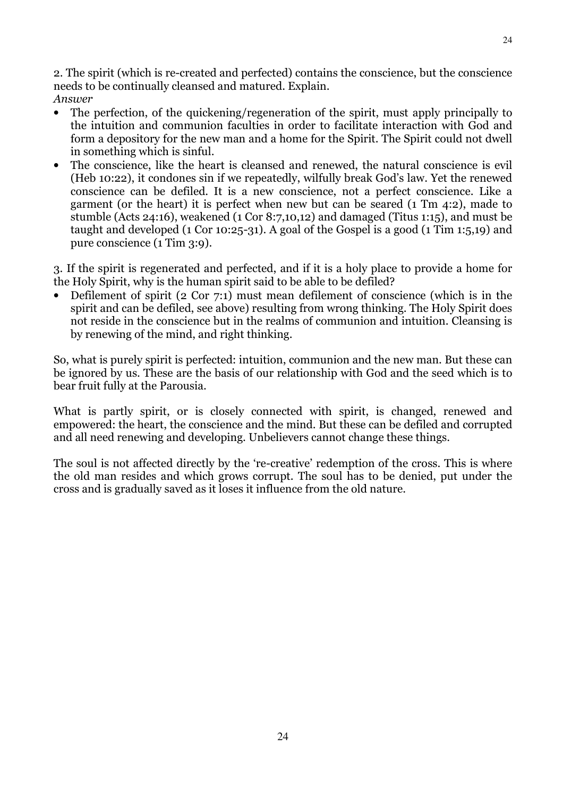2. The spirit (which is re-created and perfected) contains the conscience, but the conscience needs to be continually cleansed and matured. Explain. Answer

- The perfection, of the quickening/regeneration of the spirit, must apply principally to the intuition and communion faculties in order to facilitate interaction with God and form a depository for the new man and a home for the Spirit. The Spirit could not dwell in something which is sinful.
- The conscience, like the heart is cleansed and renewed, the natural conscience is evil (Heb 10:22), it condones sin if we repeatedly, wilfully break God's law. Yet the renewed conscience can be defiled. It is a new conscience, not a perfect conscience. Like a garment (or the heart) it is perfect when new but can be seared (1 Tm 4:2), made to stumble (Acts 24:16), weakened (1 Cor 8:7,10,12) and damaged (Titus 1:15), and must be taught and developed (1 Cor 10:25-31). A goal of the Gospel is a good (1 Tim 1:5,19) and pure conscience (1 Tim 3:9).

3. If the spirit is regenerated and perfected, and if it is a holy place to provide a home for the Holy Spirit, why is the human spirit said to be able to be defiled?

• Defilement of spirit (2 Cor 7:1) must mean defilement of conscience (which is in the spirit and can be defiled, see above) resulting from wrong thinking. The Holy Spirit does not reside in the conscience but in the realms of communion and intuition. Cleansing is by renewing of the mind, and right thinking.

So, what is purely spirit is perfected: intuition, communion and the new man. But these can be ignored by us. These are the basis of our relationship with God and the seed which is to bear fruit fully at the Parousia.

What is partly spirit, or is closely connected with spirit, is changed, renewed and empowered: the heart, the conscience and the mind. But these can be defiled and corrupted and all need renewing and developing. Unbelievers cannot change these things.

The soul is not affected directly by the 're-creative' redemption of the cross. This is where the old man resides and which grows corrupt. The soul has to be denied, put under the cross and is gradually saved as it loses it influence from the old nature.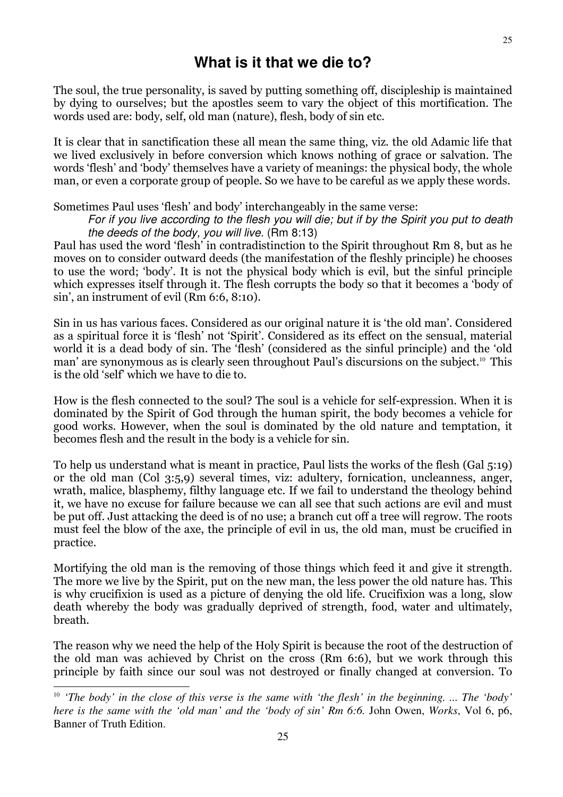### **What is it that we die to?**

The soul, the true personality, is saved by putting something off, discipleship is maintained by dying to ourselves; but the apostles seem to vary the object of this mortification. The words used are: body, self, old man (nature), flesh, body of sin etc.

It is clear that in sanctification these all mean the same thing, viz. the old Adamic life that we lived exclusively in before conversion which knows nothing of grace or salvation. The words 'flesh' and 'body' themselves have a variety of meanings: the physical body, the whole man, or even a corporate group of people. So we have to be careful as we apply these words.

#### Sometimes Paul uses 'flesh' and body' interchangeably in the same verse:

For if you live according to the flesh you will die; but if by the Spirit you put to death the deeds of the body, you will live. (Rm 8:13)

Paul has used the word 'flesh' in contradistinction to the Spirit throughout Rm 8, but as he moves on to consider outward deeds (the manifestation of the fleshly principle) he chooses to use the word; 'body'. It is not the physical body which is evil, but the sinful principle which expresses itself through it. The flesh corrupts the body so that it becomes a 'body of sin', an instrument of evil (Rm 6:6, 8:10).

Sin in us has various faces. Considered as our original nature it is 'the old man'. Considered as a spiritual force it is 'flesh' not 'Spirit'. Considered as its effect on the sensual, material world it is a dead body of sin. The 'flesh' (considered as the sinful principle) and the 'old man' are synonymous as is clearly seen throughout Paul's discursions on the subject.<sup>10</sup> This is the old 'self' which we have to die to.

How is the flesh connected to the soul? The soul is a vehicle for self-expression. When it is dominated by the Spirit of God through the human spirit, the body becomes a vehicle for good works. However, when the soul is dominated by the old nature and temptation, it becomes flesh and the result in the body is a vehicle for sin.

To help us understand what is meant in practice, Paul lists the works of the flesh (Gal 5:19) or the old man (Col 3:5,9) several times, viz: adultery, fornication, uncleanness, anger, wrath, malice, blasphemy, filthy language etc. If we fail to understand the theology behind it, we have no excuse for failure because we can all see that such actions are evil and must be put off. Just attacking the deed is of no use; a branch cut off a tree will regrow. The roots must feel the blow of the axe, the principle of evil in us, the old man, must be crucified in practice.

Mortifying the old man is the removing of those things which feed it and give it strength. The more we live by the Spirit, put on the new man, the less power the old nature has. This is why crucifixion is used as a picture of denying the old life. Crucifixion was a long, slow death whereby the body was gradually deprived of strength, food, water and ultimately, breath.

The reason why we need the help of the Holy Spirit is because the root of the destruction of the old man was achieved by Christ on the cross (Rm 6:6), but we work through this principle by faith since our soul was not destroyed or finally changed at conversion. To

 $\overline{a}$ 

<sup>10</sup> *'The body' in the close of this verse is the same with 'the flesh' in the beginning. ... The 'body' here is the same with the 'old man' and the 'body of sin' Rm 6:6.* John Owen, *Works*, Vol 6, p6, Banner of Truth Edition.